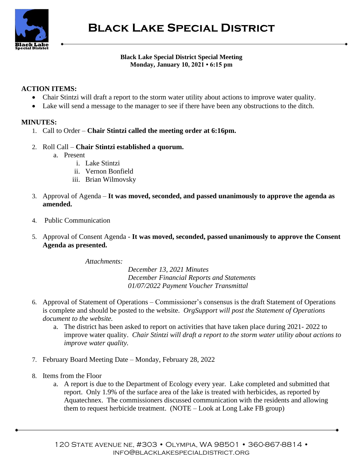

## **Black Lake Special District Special Meeting Monday, January 10, 2021 • 6:15 pm**

## **ACTION ITEMS:**

- Chair Stintzi will draft a report to the storm water utility about actions to improve water quality.
- Lake will send a message to the manager to see if there have been any obstructions to the ditch.

## **MINUTES:**

- 1. Call to Order **Chair Stintzi called the meeting order at 6:16pm.**
- 2. Roll Call **Chair Stintzi established a quorum.**
	- a. Present
		- i. Lake Stintzi
		- ii. Vernon Bonfield
		- iii. Brian Wilmovsky
- 3. Approval of Agenda **It was moved, seconded, and passed unanimously to approve the agenda as amended.**
- 4. Public Communication
- 5. Approval of Consent Agenda **It was moved, seconded, passed unanimously to approve the Consent Agenda as presented.**

*Attachments:*

*December 13, 2021 Minutes December Financial Reports and Statements 01/07/2022 Payment Voucher Transmittal*

- 6. Approval of Statement of Operations Commissioner's consensus is the draft Statement of Operations is complete and should be posted to the website. *OrgSupport will post the Statement of Operations document to the website.*
	- a. The district has been asked to report on activities that have taken place during 2021- 2022 to improve water quality. *Chair Stintzi will draft a report to the storm water utility about actions to improve water quality.*
- 7. February Board Meeting Date Monday, February 28, 2022
- 8. Items from the Floor
	- a. A report is due to the Department of Ecology every year. Lake completed and submitted that report. Only 1.9% of the surface area of the lake is treated with herbicides, as reported by Aquatechnex. The commissioners discussed communication with the residents and allowing them to request herbicide treatment. (NOTE – Look at Long Lake FB group)